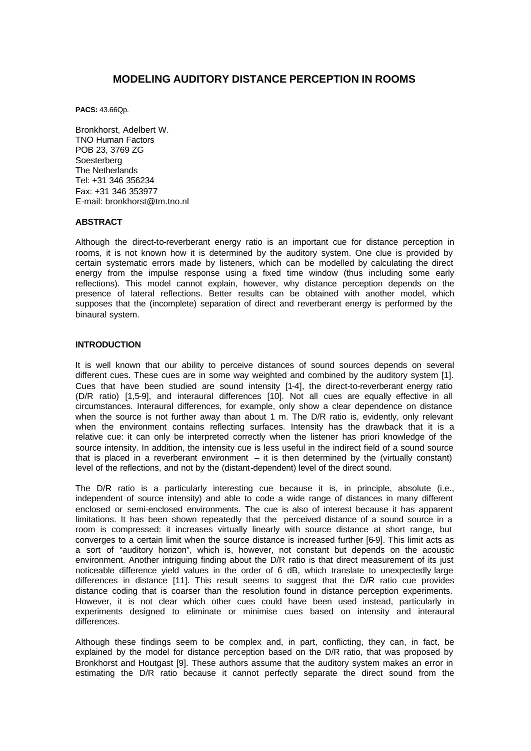# **MODELING AUDITORY DISTANCE PERCEPTION IN ROOMS**

**PACS:** 43.66Qp.

Bronkhorst, Adelbert W. TNO Human Factors POB 23, 3769 ZG **Soesterberg** The Netherlands Tel: +31 346 356234 Fax: +31 346 353977 E-mail: bronkhorst@tm.tno.nl

#### **ABSTRACT**

Although the direct-to-reverberant energy ratio is an important cue for distance perception in rooms, it is not known how it is determined by the auditory system. One clue is provided by certain systematic errors made by listeners, which can be modelled by calculating the direct energy from the impulse response using a fixed time window (thus including some early reflections). This model cannot explain, however, why distance perception depends on the presence of lateral reflections. Better results can be obtained with another model, which supposes that the (incomplete) separation of direct and reverberant energy is performed by the binaural system.

### **INTRODUCTION**

It is well known that our ability to perceive distances of sound sources depends on several different cues. These cues are in some way weighted and combined by the auditory system [1]. Cues that have been studied are sound intensity [1-4], the direct-to-reverberant energy ratio (D/R ratio) [1,5-9], and interaural differences [10]. Not all cues are equally effective in all circumstances. Interaural differences, for example, only show a clear dependence on distance when the source is not further away than about 1 m. The D/R ratio is, evidently, only relevant when the environment contains reflecting surfaces. Intensity has the drawback that it is a relative cue: it can only be interpreted correctly when the listener has priori knowledge of the source intensity. In addition, the intensity cue is less useful in the indirect field of a sound source that is placed in a reverberant environment – it is then determined by the (virtually constant) level of the reflections, and not by the (distant-dependent) level of the direct sound.

The D/R ratio is a particularly interesting cue because it is, in principle, absolute (i.e., independent of source intensity) and able to code a wide range of distances in many different enclosed or semi-enclosed environments. The cue is also of interest because it has apparent limitations. It has been shown repeatedly that the perceived distance of a sound source in a room is compressed: it increases virtually linearly with source distance at short range, but converges to a certain limit when the source distance is increased further [6-9]. This limit acts as a sort of "auditory horizon", which is, however, not constant but depends on the acoustic environment. Another intriguing finding about the D/R ratio is that direct measurement of its just noticeable difference yield values in the order of 6 dB, which translate to unexpectedly large differences in distance [11]. This result seems to suggest that the D/R ratio cue provides distance coding that is coarser than the resolution found in distance perception experiments. However, it is not clear which other cues could have been used instead, particularly in experiments designed to eliminate or minimise cues based on intensity and interaural differences.

Although these findings seem to be complex and, in part, conflicting, they can, in fact, be explained by the model for distance perception based on the D/R ratio, that was proposed by Bronkhorst and Houtgast [9]. These authors assume that the auditory system makes an error in estimating the D/R ratio because it cannot perfectly separate the direct sound from the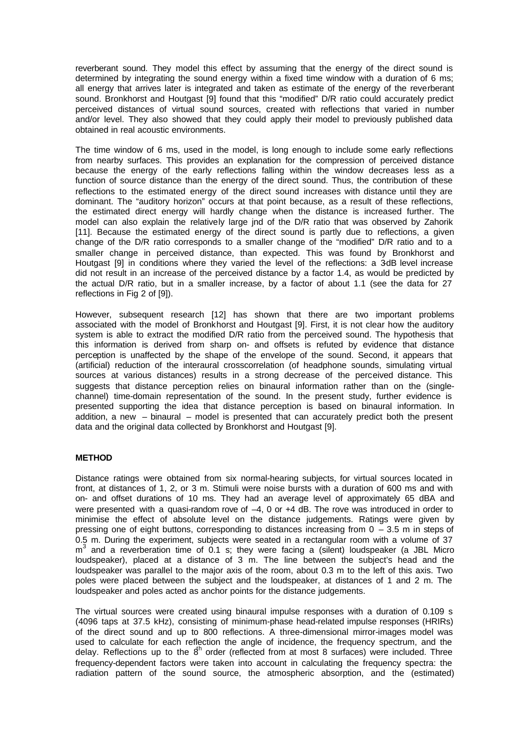reverberant sound. They model this effect by assuming that the energy of the direct sound is determined by integrating the sound energy within a fixed time window with a duration of 6 ms; all energy that arrives later is integrated and taken as estimate of the energy of the reverberant sound. Bronkhorst and Houtgast [9] found that this "modified" D/R ratio could accurately predict perceived distances of virtual sound sources, created with reflections that varied in number and/or level. They also showed that they could apply their model to previously published data obtained in real acoustic environments.

The time window of 6 ms, used in the model, is long enough to include some early reflections from nearby surfaces. This provides an explanation for the compression of perceived distance because the energy of the early reflections falling within the window decreases less as a function of source distance than the energy of the direct sound. Thus, the contribution of these reflections to the estimated energy of the direct sound increases with distance until they are dominant. The "auditory horizon" occurs at that point because, as a result of these reflections, the estimated direct energy will hardly change when the distance is increased further. The model can also explain the relatively large jnd of the D/R ratio that was observed by Zahorik [11]. Because the estimated energy of the direct sound is partly due to reflections, a given change of the D/R ratio corresponds to a smaller change of the "modified" D/R ratio and to a smaller change in perceived distance, than expected. This was found by Bronkhorst and Houtgast [9] in conditions where they varied the level of the reflections: a 3dB level increase did not result in an increase of the perceived distance by a factor 1.4, as would be predicted by the actual D/R ratio, but in a smaller increase, by a factor of about 1.1 (see the data for 27 reflections in Fig 2 of [9]).

However, subsequent research [12] has shown that there are two important problems associated with the model of Bronkhorst and Houtgast [9]. First, it is not clear how the auditory system is able to extract the modified D/R ratio from the perceived sound. The hypothesis that this information is derived from sharp on- and offsets is refuted by evidence that distance perception is unaffected by the shape of the envelope of the sound. Second, it appears that (artificial) reduction of the interaural crosscorrelation (of headphone sounds, simulating virtual sources at various distances) results in a strong decrease of the perceived distance. This suggests that distance perception relies on binaural information rather than on the (singlechannel) time-domain representation of the sound. In the present study, further evidence is presented supporting the idea that distance perception is based on binaural information. In addition, a new – binaural – model is presented that can accurately predict both the present data and the original data collected by Bronkhorst and Houtgast [9].

#### **METHOD**

Distance ratings were obtained from six normal-hearing subjects, for virtual sources located in front, at distances of 1, 2, or 3 m. Stimuli were noise bursts with a duration of 600 ms and with on- and offset durations of 10 ms. They had an average level of approximately 65 dBA and were presented with a quasi-random rove of  $-4$ , 0 or +4 dB. The rove was introduced in order to minimise the effect of absolute level on the distance judgements. Ratings were given by pressing one of eight buttons, corresponding to distances increasing from 0 – 3.5 m in steps of 0.5 m. During the experiment, subjects were seated in a rectangular room with a volume of 37 m<sup>3</sup> and a reverberation time of 0.1 s; they were facing a (silent) loudspeaker (a JBL Micro loudspeaker), placed at a distance of 3 m. The line between the subject's head and the loudspeaker was parallel to the major axis of the room, about 0.3 m to the left of this axis. Two poles were placed between the subject and the loudspeaker, at distances of 1 and 2 m. The loudspeaker and poles acted as anchor points for the distance judgements.

The virtual sources were created using binaural impulse responses with a duration of 0.109 s (4096 taps at 37.5 kHz), consisting of minimum-phase head-related impulse responses (HRIRs) of the direct sound and up to 800 reflections. A three-dimensional mirror-images model was used to calculate for each reflection the angle of incidence, the frequency spectrum, and the delay. Reflections up to the  $8<sup>h</sup>$  order (reflected from at most 8 surfaces) were included. Three frequency-dependent factors were taken into account in calculating the frequency spectra: the radiation pattern of the sound source, the atmospheric absorption, and the (estimated)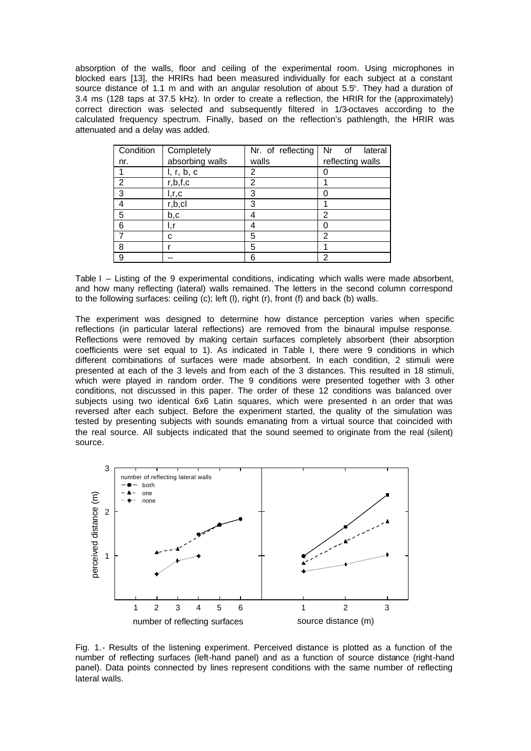absorption of the walls, floor and ceiling of the experimental room. Using microphones in blocked ears [13], the HRIRs had been measured individually for each subject at a constant source distance of 1.1 m and with an angular resolution of about 5.5°. They had a duration of 3.4 ms (128 taps at 37.5 kHz). In order to create a reflection, the HRIR for the (approximately) correct direction was selected and subsequently filtered in 1/3-octaves according to the calculated frequency spectrum. Finally, based on the reflection's pathlength, the HRIR was attenuated and a delay was added.

| Condition      | Completely      | Nr. of reflecting | Nr of<br>lateral |
|----------------|-----------------|-------------------|------------------|
| nr.            | absorbing walls | walls             | reflecting walls |
|                | l, r, b, c      | 2                 |                  |
| $\overline{2}$ | r, b, f, c      | 2                 |                  |
| 3              | I, r, c         | 3                 |                  |
|                | r, b, c         | 3                 |                  |
| 5              | b,c             |                   | 2                |
| 6              | ı,r             |                   |                  |
|                | C               | 5                 | 2                |
| 8              |                 | 5                 |                  |
| 9              |                 | 6                 | 2                |

Table I – Listing of the 9 experimental conditions, indicating which walls were made absorbent, and how many reflecting (lateral) walls remained. The letters in the second column correspond to the following surfaces: ceiling (c); left (l), right (r), front (f) and back (b) walls.

The experiment was designed to determine how distance perception varies when specific reflections (in particular lateral reflections) are removed from the binaural impulse response. Reflections were removed by making certain surfaces completely absorbent (their absorption coefficients were set equal to 1). As indicated in Table I, there were 9 conditions in which different combinations of surfaces were made absorbent. In each condition, 2 stimuli were presented at each of the 3 levels and from each of the 3 distances. This resulted in 18 stimuli, which were played in random order. The 9 conditions were presented together with 3 other conditions, not discussed in this paper. The order of these 12 conditions was balanced over subjects using two identical 6x6 Latin squares, which were presented in an order that was reversed after each subject. Before the experiment started, the quality of the simulation was tested by presenting subjects with sounds emanating from a virtual source that coincided with the real source. All subjects indicated that the sound seemed to originate from the real (silent) source.



Fig. 1.- Results of the listening experiment. Perceived distance is plotted as a function of the number of reflecting surfaces (left-hand panel) and as a function of source distance (right-hand panel). Data points connected by lines represent conditions with the same number of reflecting lateral walls.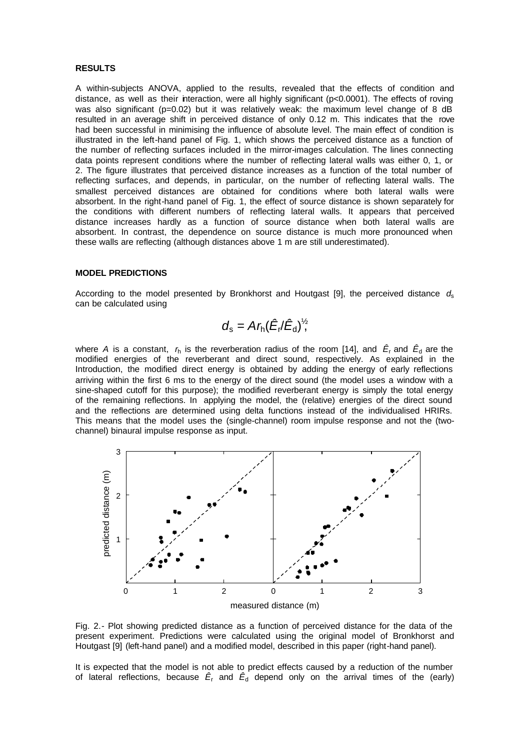#### **RESULTS**

A within-subjects ANOVA, applied to the results, revealed that the effects of condition and distance, as well as their interaction, were all highly significant (p<0.0001). The effects of roving was also significant (p=0.02) but it was relatively weak: the maximum level change of 8 dB resulted in an average shift in perceived distance of only 0.12 m. This indicates that the rove had been successful in minimising the influence of absolute level. The main effect of condition is illustrated in the left-hand panel of Fig. 1, which shows the perceived distance as a function of the number of reflecting surfaces included in the mirror-images calculation. The lines connecting data points represent conditions where the number of reflecting lateral walls was either 0, 1, or 2. The figure illustrates that perceived distance increases as a function of the total number of reflecting surfaces, and depends, in particular, on the number of reflecting lateral walls. The smallest perceived distances are obtained for conditions where both lateral walls were absorbent. In the right-hand panel of Fig. 1, the effect of source distance is shown separately for the conditions with different numbers of reflecting lateral walls. It appears that perceived distance increases hardly as a function of source distance when both lateral walls are absorbent. In contrast, the dependence on source distance is much more pronounced when these walls are reflecting (although distances above 1 m are still underestimated).

#### **MODEL PREDICTIONS**

According to the model presented by Bronkhorst and Houtgast [9], the perceived distance *d*<sup>s</sup> can be calculated using

$$
d_{\rm s}=A r_{\rm h}(\hat{E}_{\rm r}/\hat{E}_{\rm d})^{\frac{1}{2}}
$$

where A is a constant,  $r_{h}$  is the reverberation radius of the room [14], and  $\tilde{E_{t}}$  and  $\tilde{E_{d}}$  are the modified energies of the reverberant and direct sound, respectively. As explained in the Introduction, the modified direct energy is obtained by adding the energy of early reflections arriving within the first 6 ms to the energy of the direct sound (the model uses a window with a sine-shaped cutoff for this purpose); the modified reverberant energy is simply the total energy of the remaining reflections. In applying the model, the (relative) energies of the direct sound and the reflections are determined using delta functions instead of the individualised HRIRs. This means that the model uses the (single-channel) room impulse response and not the (twochannel) binaural impulse response as input.



Fig. 2.- Plot showing predicted distance as a function of perceived distance for the data of the present experiment. Predictions were calculated using the original model of Bronkhorst and Houtgast [9] (left-hand panel) and a modified model, described in this paper (right-hand panel).

It is expected that the model is not able to predict effects caused by a reduction of the number of lateral reflections, because  $\tilde{E}_{\text{r}}$  and  $\tilde{E}_{\text{d}}$  depend only on the arrival times of the (early)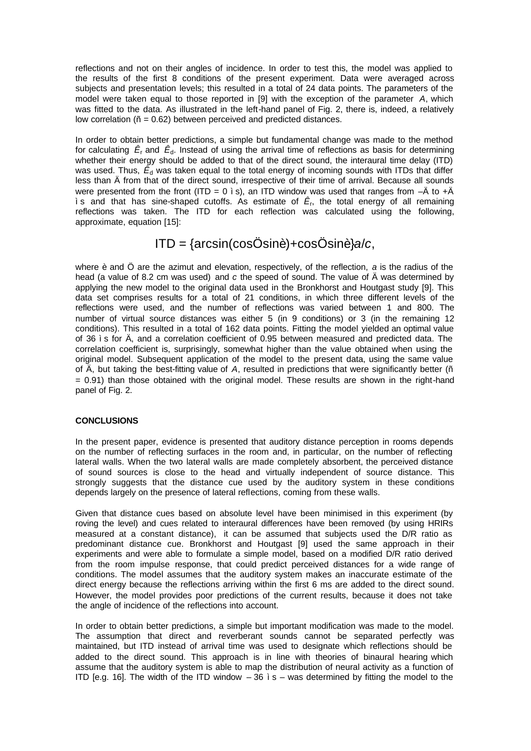reflections and not on their angles of incidence. In order to test this, the model was applied to the results of the first 8 conditions of the present experiment. Data were averaged across subjects and presentation levels; this resulted in a total of 24 data points. The parameters of the model were taken equal to those reported in [9] with the exception of the parameter *A*, which was fitted to the data. As illustrated in the left-hand panel of Fig. 2, there is, indeed, a relatively low correlation (ñ = 0.62) between perceived and predicted distances.

In order to obtain better predictions, a simple but fundamental change was made to the method for calculating  $\,E_{\text{r}}$  and  $\,E_{\text{d}}$ . Instead of using the arrival time of reflections as basis for determining whether their energy should be added to that of the direct sound, the interaural time delay (ITD) was used. Thus,  $\tilde{E}_d$  was taken equal to the total energy of incoming sounds with ITDs that differ less than Ä from that of the direct sound, irrespective of their time of arrival. Because all sounds were presented from the front (ITD = 0 i s), an ITD window was used that ranges from  $-\ddot{A}$  to  $+\ddot{A}$ ìs and that has sine-shaped cutoffs. As estimate of *Ê*<sup>r</sup> , the total energy of all remaining reflections was taken. The ITD for each reflection was calculated using the following, approximate, equation [15]:

# ITD = {arcsin(cosÖsinè)+cosÖsinè}*a*/*c*,

where è and Ö are the azimut and elevation, respectively, of the reflection, *a* is the radius of the head (a value of 8.2 cm was used) and *c* the speed of sound. The value of Ä was determined by applying the new model to the original data used in the Bronkhorst and Houtgast study [9]. This data set comprises results for a total of 21 conditions, in which three different levels of the reflections were used, and the number of reflections was varied between 1 and 800. The number of virtual source distances was either 5 (in 9 conditions) or 3 (in the remaining 12 conditions). This resulted in a total of 162 data points. Fitting the model yielded an optimal value of 36 ìs for Ä, and a correlation coefficient of 0.95 between measured and predicted data. The correlation coefficient is, surprisingly, somewhat higher than the value obtained when using the original model. Subsequent application of the model to the present data, using the same value of Ä, but taking the best-fitting value of *A*, resulted in predictions that were significantly better (ñ = 0.91) than those obtained with the original model. These results are shown in the right-hand panel of Fig. 2.

## **CONCLUSIONS**

In the present paper, evidence is presented that auditory distance perception in rooms depends on the number of reflecting surfaces in the room and, in particular, on the number of reflecting lateral walls. When the two lateral walls are made completely absorbent, the perceived distance of sound sources is close to the head and virtually independent of source distance. This strongly suggests that the distance cue used by the auditory system in these conditions depends largely on the presence of lateral reflections, coming from these walls.

Given that distance cues based on absolute level have been minimised in this experiment (by roving the level) and cues related to interaural differences have been removed (by using HRIRs measured at a constant distance), it can be assumed that subjects used the D/R ratio as predominant distance cue. Bronkhorst and Houtgast [9] used the same approach in their experiments and were able to formulate a simple model, based on a modified D/R ratio derived from the room impulse response, that could predict perceived distances for a wide range of conditions. The model assumes that the auditory system makes an inaccurate estimate of the direct energy because the reflections arriving within the first 6 ms are added to the direct sound. However, the model provides poor predictions of the current results, because it does not take the angle of incidence of the reflections into account.

In order to obtain better predictions, a simple but important modification was made to the model. The assumption that direct and reverberant sounds cannot be separated perfectly was maintained, but ITD instead of arrival time was used to designate which reflections should be added to the direct sound. This approach is in line with theories of binaural hearing which assume that the auditory system is able to map the distribution of neural activity as a function of ITD [e.g. 16]. The width of the ITD window  $-36$  ìs – was determined by fitting the model to the